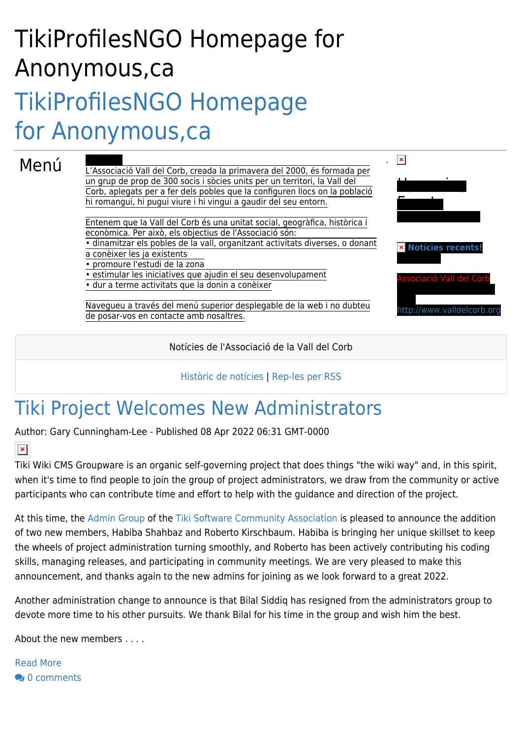# TikiProfilesNGO Homepage for Anonymous,ca [TikiProfilesNGO Homepage](https://tiki.org/TikiProfilesNGO-Homepage-for-Anonymous,ca) [for Anonymous,ca](https://tiki.org/TikiProfilesNGO-Homepage-for-Anonymous,ca)

#### Menú

L'Associació Vall del Corb, creada la primavera del 2000, és formada per un grup de prop de 300 socis i sòcies units per un territori, la Vall del Corb, aplegats per a fer dels pobles que la configuren llocs on la població hi romangui, hi pugui viure i hi vingui a gaudir del seu entorn.

Entenem que la Vall del Corb és una unitat social, geogràfica, històrica i econòmica. Per això, els objectius de l'Associació són:

• dinamitzar els pobles de la vall, organitzant activitats diverses, o donant a conèixer les ja existents

• promoure l'estudi de la zona

• estimular les iniciatives que ajudin el seu desenvolupament

• dur a terme activitats que la donin a conèixer

Navegueu a través del menú superior desplegable de la web i no dubteu de posar-vos en contacte amb nosaltres.

Notícies de l'Associació de la Vall del Corb

.

 $\pmb{\times}$ 

 $\mathbf{U}$  and  $\mathbf{U}$ 

**[Notícies recents!](https://tiki.org/TikiProfilesNGO%20Homepage%20for%20Anonymous,ca#articles)**

ació Vall del Co

<http://www.valldelcorb.org>

Events

#### [Històric de notícies](https://tiki.org/articles) | [Rep-les per RSS](https://tiki.org/Not%C3%ADcies+per+RSS)

### [Tiki Project Welcomes New Administrators](https://tiki.org/article489-Tiki-Project-Welcomes-New-Administrators)

Author: Gary Cunningham-Lee - Published 08 Apr 2022 06:31 GMT-0000

 $\pmb{\times}$ 

Tiki Wiki CMS Groupware is an organic self-governing project that does things "the wiki way" and, in this spirit, when it's time to find people to join the group of project administrators, we draw from the community or active participants who can contribute time and effort to help with the guidance and direction of the project.

At this time, the [Admin Group](https://tiki.org/Tiki-Admin-Group) of the [Tiki Software Community Association](https://tiki.org/Tiki-Software-Community-Association) is pleased to announce the addition of two new members, Habiba Shahbaz and Roberto Kirschbaum. Habiba is bringing her unique skillset to keep the wheels of project administration turning smoothly, and Roberto has been actively contributing his coding skills, managing releases, and participating in community meetings. We are very pleased to make this announcement, and thanks again to the new admins for joining as we look forward to a great 2022.

Another administration change to announce is that Bilal Siddiq has resigned from the administrators group to devote more time to his other pursuits. We thank Bilal for his time in the group and wish him the best.

About the new members . . . .

[Read More](https://tiki.org/article489-Tiki-Project-Welcomes-New-Administrators) **20** [0 comments](https://tiki.org/article489?show_comzone=y#comments)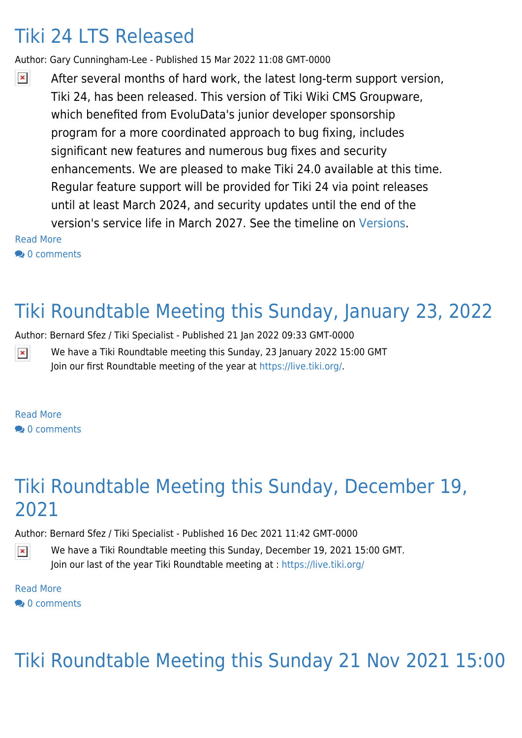### [Tiki 24 LTS Released](https://tiki.org/article488-Tiki-24-LTS-Released)

Author: Gary Cunningham-Lee - Published 15 Mar 2022 11:08 GMT-0000

 $\pmb{\times}$ After several months of hard work, the latest long-term support version, Tiki 24, has been released. This version of Tiki Wiki CMS Groupware, which benefited from EvoluData's junior developer sponsorship program for a more coordinated approach to bug fixing, includes significant new features and numerous bug fixes and security enhancements. We are pleased to make Tiki 24.0 available at this time. Regular feature support will be provided for Tiki 24 via point releases until at least March 2024, and security updates until the end of the version's service life in March 2027. See the timeline on [Versions.](https://tiki.org/Versions)

[Read More](https://tiki.org/article488-Tiki-24-LTS-Released)

<sup>o</sup> [0 comments](https://tiki.org/article488?show_comzone=y#comments)

### [Tiki Roundtable Meeting this Sunday, January 23, 2022](https://tiki.org/article487-Tiki-Roundtable-Meeting-this-Sunday-January-23-2022)

Author: Bernard Sfez / Tiki Specialist - Published 21 Jan 2022 09:33 GMT-0000

 $\pmb{\times}$ We have a Tiki Roundtable meeting this Sunday, 23 January 2022 15:00 GMT Join our first Roundtable meeting of the year at<https://live.tiki.org/>.

[Read More](https://tiki.org/article487-Tiki-Roundtable-Meeting-this-Sunday-January-23-2022) **20** [0 comments](https://tiki.org/article487?show_comzone=y#comments)

### [Tiki Roundtable Meeting this Sunday, December 19,](https://tiki.org/article486-Tiki-Roundtable-Meeting-this-Sunday-December-19-2021) [2021](https://tiki.org/article486-Tiki-Roundtable-Meeting-this-Sunday-December-19-2021)

Author: Bernard Sfez / Tiki Specialist - Published 16 Dec 2021 11:42 GMT-0000

We have a Tiki Roundtable meeting this Sunday, December 19, 2021 15:00 GMT. Join our last of the year Tiki Roundtable meeting at :<https://live.tiki.org/>

[Read More](https://tiki.org/article486-Tiki-Roundtable-Meeting-this-Sunday-December-19-2021)  $\bullet$  [0 comments](https://tiki.org/article486?show_comzone=y#comments)

 $\pmb{\times}$ 

## [Tiki Roundtable Meeting this Sunday 21 Nov 2021 15:00](https://tiki.org/article485-Tiki-Roundtable-Meeting-this-Sunday-21-Nov-2021-15-00-GMT)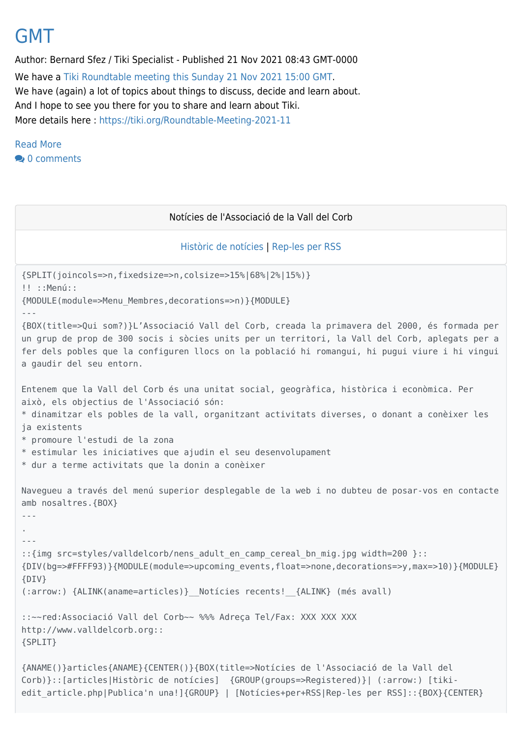#### [GMT](https://tiki.org/article485-Tiki-Roundtable-Meeting-this-Sunday-21-Nov-2021-15-00-GMT)

Author: Bernard Sfez / Tiki Specialist - Published 21 Nov 2021 08:43 GMT-0000 We have a [Tiki Roundtable meeting this Sunday 21 Nov 2021 15:00 GMT](https://tiki.org/Roundtable-Meeting-2021-11). We have (again) a lot of topics about things to discuss, decide and learn about. And I hope to see you there for you to share and learn about Tiki. More details here :<https://tiki.org/Roundtable-Meeting-2021-11>

[Read More](https://tiki.org/article485-Tiki-Roundtable-Meeting-this-Sunday-21-Nov-2021-15-00-GMT) **20** Comments

#### Notícies de l'Associació de la Vall del Corb

#### [Històric de notícies](https://tiki.org/articles) | [Rep-les per RSS](https://tiki.org/Not%C3%ADcies+per+RSS)

```
{SPLIT(joincols=>n,fixedsize=>n,colsize=>15%|68%|2%|15%)}
!! ::Menú::
{MODULE(module=>Menu_Membres,decorations=>n)}{MODULE}
---
{BOX(title=>Qui som?)}L'Associació Vall del Corb, creada la primavera del 2000, és formada per
un grup de prop de 300 socis i sòcies units per un territori, la Vall del Corb, aplegats per a
fer dels pobles que la configuren llocs on la població hi romangui, hi pugui viure i hi vingui
a gaudir del seu entorn.
Entenem que la Vall del Corb és una unitat social, geogràfica, històrica i econòmica. Per
això, els objectius de l'Associació són:
* dinamitzar els pobles de la vall, organitzant activitats diverses, o donant a conèixer les
ja existents
* promoure l'estudi de la zona
* estimular les iniciatives que ajudin el seu desenvolupament
* dur a terme activitats que la donin a conèixer
Navegueu a través del menú superior desplegable de la web i no dubteu de posar-vos en contacte
amb nosaltres.{BOX}
---
.
---
::{img src=styles/valldelcorb/nens adult en camp cereal bn mig.jpg width=200 }::
{DIV(bg=>#FFFF93)}{MODULE(module=>upcoming_events,float=>none,decorations=>y,max=>10)}{MODULE}
{DIV}
(:arrow:) {ALINK(aname=articles)}__Notícies recents!__{ALINK} (més avall)
::~~red:Associació Vall del Corb~~ %%% Adreça Tel/Fax: XXX XXX XXX
http://www.valldelcorb.org::
{SPLIT}
{ANAME()}articles{ANAME}{CENTER()}{BOX(title=>Notícies de l'Associació de la Vall del
Corb)}::[articles|Històric de notícies] {GROUP(groups=>Registered)}| (:arrow:) [tiki-
edit article.php|Publica'n una!]{GROUP} | [Notícies+per+RSS|Rep-les per RSS]::{BOX}{CENTER}
```